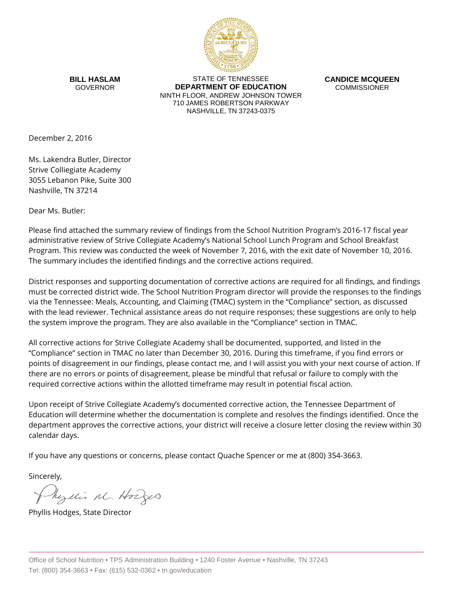

**BILL HASLAM** GOVERNOR

STATE OF TENNESSEE **DEPARTMENT OF EDUCATION** NINTH FLOOR, ANDREW JOHNSON TOWER 710 JAMES ROBERTSON PARKWAY NASHVILLE, TN 37243-0375

**CANDICE MCQUEEN** COMMISSIONER

December 2, 2016

Ms. Lakendra Butler, Director Strive Colliegiate Academy 3055 Lebanon Pike, Suite 300 Nashville, TN 37214

Dear Ms. Butler:

Please find attached the summary review of findings from the School Nutrition Program's 2016-17 fiscal year administrative review of Strive Collegiate Academy's National School Lunch Program and School Breakfast Program. This review was conducted the week of November 7, 2016, with the exit date of November 10, 2016. The summary includes the identified findings and the corrective actions required.

District responses and supporting documentation of corrective actions are required for all findings, and findings must be corrected district wide. The School Nutrition Program director will provide the responses to the findings via the Tennessee: Meals, Accounting, and Claiming (TMAC) system in the "Compliance" section, as discussed with the lead reviewer. Technical assistance areas do not require responses; these suggestions are only to help the system improve the program. They are also available in the "Compliance" section in TMAC.

All corrective actions for Strive Collegiate Academy shall be documented, supported, and listed in the "Compliance" section in TMAC no later than December 30, 2016. During this timeframe, if you find errors or points of disagreement in our findings, please contact me, and I will assist you with your next course of action. If there are no errors or points of disagreement, please be mindful that refusal or failure to comply with the required corrective actions within the allotted timeframe may result in potential fiscal action.

Upon receipt of Strive Collegiate Academy's documented corrective action, the Tennessee Department of Education will determine whether the documentation is complete and resolves the findings identified. Once the department approves the corrective actions, your district will receive a closure letter closing the review within 30 calendar days.

If you have any questions or concerns, please contact Quache Spencer or me at (800) 354-3663.

Sincerely,

Myllis M. Hodges

Phyllis Hodges, State Director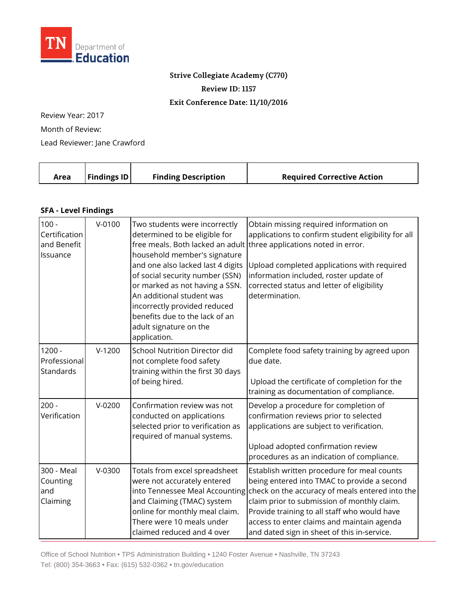

## **Strive Collegiate Academy (C770)**

**Review ID: 1157**

**Exit Conference Date: 11/10/2016**

Review Year: 2017 Month of Review:

Lead Reviewer: Jane Crawford

|  | Area | <b>Findings ID</b> | <b>Finding Description</b> | <b>Required Corrective Action</b> |
|--|------|--------------------|----------------------------|-----------------------------------|
|--|------|--------------------|----------------------------|-----------------------------------|

## **SFA - Level Findings**

| $100 -$<br>Certification<br>and Benefit<br>Issuance | $V - 0100$ | Two students were incorrectly<br>determined to be eligible for<br>household member's signature<br>and one also lacked last 4 digits<br>of social security number (SSN)<br>or marked as not having a SSN.<br>An additional student was<br>incorrectly provided reduced<br>benefits due to the lack of an<br>adult signature on the<br>application. | Obtain missing required information on<br>applications to confirm student eligibility for all<br>free meals. Both lacked an adult three applications noted in error.<br>Upload completed applications with required<br>information included, roster update of<br>corrected status and letter of eligibility<br>determination.                                            |
|-----------------------------------------------------|------------|---------------------------------------------------------------------------------------------------------------------------------------------------------------------------------------------------------------------------------------------------------------------------------------------------------------------------------------------------|--------------------------------------------------------------------------------------------------------------------------------------------------------------------------------------------------------------------------------------------------------------------------------------------------------------------------------------------------------------------------|
| $1200 -$<br>Professional<br>Standards               | $V-1200$   | <b>School Nutrition Director did</b><br>not complete food safety<br>training within the first 30 days<br>of being hired.                                                                                                                                                                                                                          | Complete food safety training by agreed upon<br>due date.<br>Upload the certificate of completion for the<br>training as documentation of compliance.                                                                                                                                                                                                                    |
| $200 -$<br>Verification                             | $V-0200$   | Confirmation review was not<br>conducted on applications<br>selected prior to verification as<br>required of manual systems.                                                                                                                                                                                                                      | Develop a procedure for completion of<br>confirmation reviews prior to selected<br>applications are subject to verification.<br>Upload adopted confirmation review<br>procedures as an indication of compliance.                                                                                                                                                         |
| 300 - Meal<br>Counting<br>and<br>Claiming           | $V-0300$   | Totals from excel spreadsheet<br>were not accurately entered<br>and Claiming (TMAC) system<br>online for monthly meal claim.<br>There were 10 meals under<br>claimed reduced and 4 over                                                                                                                                                           | Establish written procedure for meal counts<br>being entered into TMAC to provide a second<br>into Tennessee Meal Accounting check on the accuracy of meals entered into the<br>claim prior to submission of monthly claim.<br>Provide training to all staff who would have<br>access to enter claims and maintain agenda<br>and dated sign in sheet of this in-service. |